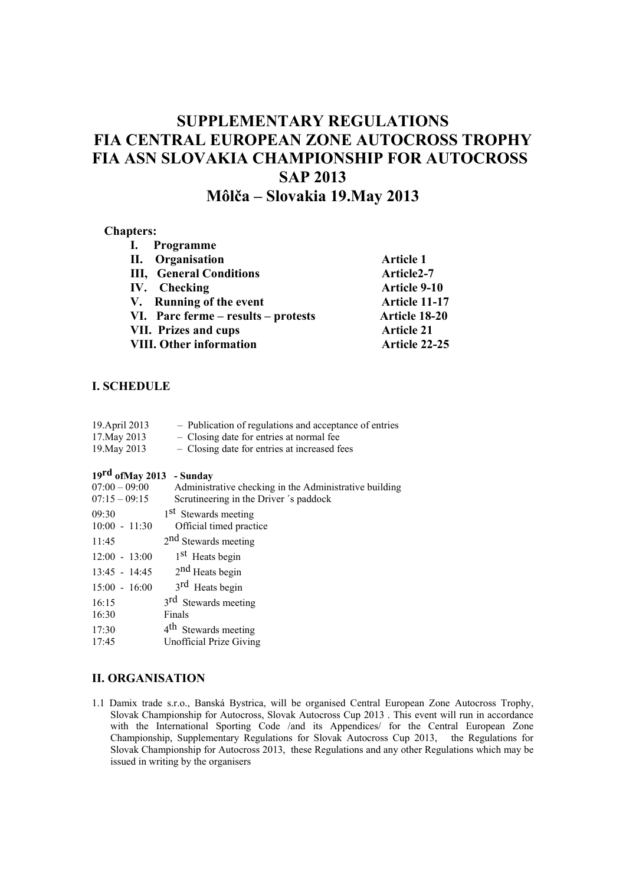# **SUPPLEMENTARY REGULATIONS FIA CENTRAL EUROPEAN ZONE AUTOCROSS TROPHY FIA ASN SLOVAKIA CHAMPIONSHIP FOR AUTOCROSS SAP 2013 Môlča – Slovakia 19.May 2013**

#### **Chapters:**

| I. Programme                        |                        |
|-------------------------------------|------------------------|
| II. Organisation                    | <b>Article 1</b>       |
| <b>III, General Conditions</b>      | Article <sub>2-7</sub> |
| IV. Checking                        | <b>Article 9-10</b>    |
| V. Running of the event             | Article 11-17          |
| VI. Parc ferme – results – protests | <b>Article 18-20</b>   |
| <b>VII. Prizes and cups</b>         | <b>Article 21</b>      |
| <b>VIII. Other information</b>      | Article 22-25          |

# **I. SCHEDULE**

| 19. April 2013 | - Publication of regulations and acceptance of entries |
|----------------|--------------------------------------------------------|
| 17. May 2013   | - Closing date for entries at normal fee               |
| 19. May 2013   | - Closing date for entries at increased fees           |

# **19rd ofMay 2013 - Sunday**

| $07:00 - 09:00$<br>$07:15 - 09:15$ | Administrative checking in the Administrative building<br>Scrutineering in the Driver 's paddock |
|------------------------------------|--------------------------------------------------------------------------------------------------|
| 09:30<br>$10:00 - 11:30$           | 1 <sup>st</sup> Stewards meeting<br>Official timed practice                                      |
| 11:45                              | 2 <sup>nd</sup> Stewards meeting                                                                 |
| $12:00 - 13:00$                    | 1 <sup>st</sup> Heats begin                                                                      |
| $13:45 - 14:45$                    | $2nd$ Heats begin                                                                                |
| $15:00 - 16:00$                    | 3 <sup>rd</sup> Heats begin                                                                      |
| 16:15                              | 3 <sup>rd</sup> Stewards meeting                                                                 |
| 16:30                              | Finals                                                                                           |
| 17:30                              | 4 <sup>th</sup> Stewards meeting                                                                 |
| 17:45                              | Unofficial Prize Giving                                                                          |
|                                    |                                                                                                  |

#### **II. ORGANISATION**

1.1 Damix trade s.r.o., Banská Bystrica, will be organised Central European Zone Autocross Trophy, Slovak Championship for Autocross, Slovak Autocross Cup 2013 . This event will run in accordance with the International Sporting Code /and its Appendices/ for the Central European Zone Championship, Supplementary Regulations for Slovak Autocross Cup 2013, the Regulations for Slovak Championship for Autocross 2013, these Regulations and any other Regulations which may be issued in writing by the organisers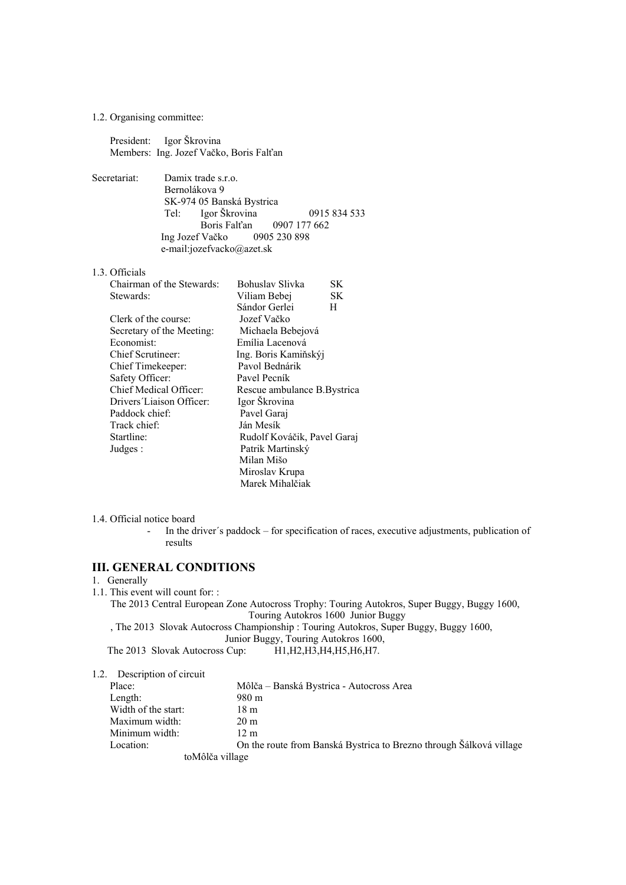1.2. Organising committee:

 President: Igor Škrovina Members: Ing. Jozef Vačko, Boris Falťan

- Secretariat: Damix trade s.r.o. Bernolákova 9 SK-974 05 Banská Bystrica<br>Tel: Jeor Škrovina Igor Škrovina 0915 834 533 Boris Falt'an 0907 177 662<br>Vačko 0905 230 898 Ing Jozef Vačko e-mail:jozefvacko@azet.sk
- 1.3. Officials

| Chairman of the Stewards: | Bohuslav Slivka             | SК |
|---------------------------|-----------------------------|----|
| Stewards:                 | Viliam Bebej                | SK |
|                           | Sándor Gerlei               | H  |
| Clerk of the course:      | Jozef Vačko                 |    |
| Secretary of the Meeting: | Michaela Bebejová           |    |
| Economist:                | Emília Lacenová             |    |
| Chief Scrutineer:         | Ing. Boris Kamiňskýj        |    |
| Chief Timekeeper:         | Pavol Bednárik              |    |
| Safety Officer:           | Pavel Pecník                |    |
| Chief Medical Officer:    | Rescue ambulance B.Bystrica |    |
| Drivers' Liaison Officer: | Igor Škrovina               |    |
| Paddock chief:            | Pavel Garaj                 |    |
| Track chief:              | Ján Mesík                   |    |
| Startline:                | Rudolf Kováčik, Pavel Garaj |    |
| Judges:                   | Patrik Martinský            |    |
|                           | Milan Mišo                  |    |
|                           | Miroslav Krupa              |    |
|                           | Marek Mihalčiak             |    |

- 1.4. Official notice board
	- In the driver's paddock for specification of races, executive adjustments, publication of results

## **III. GENERAL CONDITIONS**

- 1. Generally
- 1.1. This event will count for: :

The 2013 Central European Zone Autocross Trophy: Touring Autokros, Super Buggy, Buggy 1600, Touring Autokros 1600 Junior Buggy

, The 2013 Slovak Autocross Championship : Touring Autokros, Super Buggy, Buggy 1600,

Junior Buggy, Touring Autokros 1600,<br>The 2013 Slovak Autocross Cup: H1,H2,H3,H4,H5,H6,H7.

## 1.2. Description of circuit

| Place:              | Môlča – Banská Bystrica - Autocross Area                            |
|---------------------|---------------------------------------------------------------------|
| Length:             | 980 m                                                               |
| Width of the start: | 18 m                                                                |
| Maximum width:      | $20 \text{ m}$                                                      |
| Minimum width:      | 12 m                                                                |
| Location:           | On the route from Banská Bystrica to Brezno through Šálková village |
|                     | toMôlča village                                                     |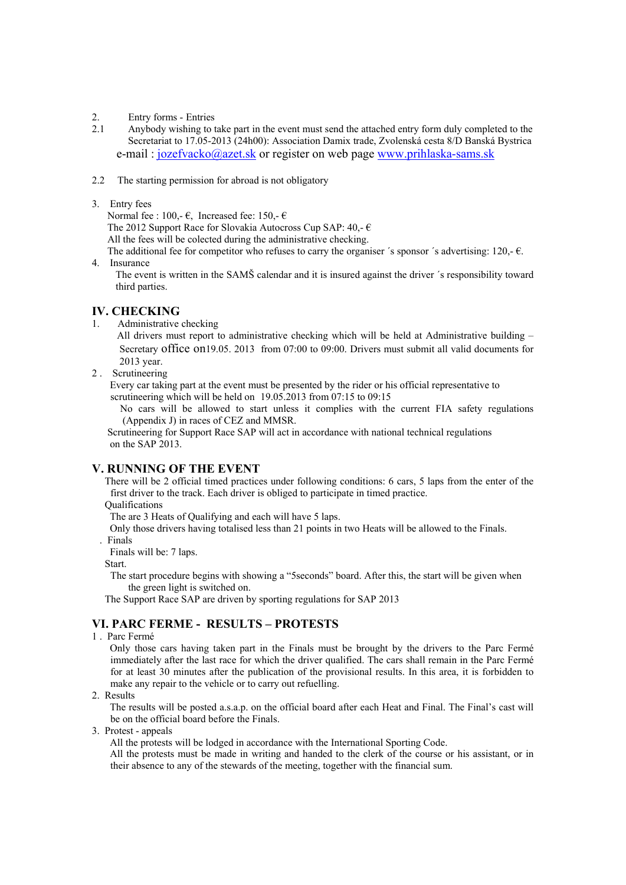- 2. Entry forms Entries<br>2.1 Anybody wishing to t
- Anybody wishing to take part in the event must send the attached entry form duly completed to the Secretariat to 17.05-2013 (24h00): Association Damix trade, Zvolenská cesta 8/D Banská Bystrica e-mail : jozefvacko@azet.sk or register on web page www.prihlaska-sams.sk
- 2.2 The starting permission for abroad is not obligatory
- 3. Entry fees

Normal fee : 100,- $\epsilon$ , Increased fee: 150,- $\epsilon$ 

The 2012 Support Race for Slovakia Autocross Cup SAP:  $40 - \epsilon$ 

All the fees will be colected during the administrative checking.

The additional fee for competitor who refuses to carry the organiser 's sponsor 's advertising: 120,- $\epsilon$ . 4. Insurance

The event is written in the SAMŠ calendar and it is insured against the driver ´s responsibility toward third parties.

### **IV. CHECKING**

1. Administrative checking

 All drivers must report to administrative checking which will be held at Administrative building – Secretary office on19.05. 2013 from 07:00 to 09:00. Drivers must submit all valid documents for 2013 year.

2 . Scrutineering

 Every car taking part at the event must be presented by the rider or his official representative to scrutineering which will be held on 19.05.2013 from 07:15 to 09:15

 No cars will be allowed to start unless it complies with the current FIA safety regulations (Appendix J) in races of CEZ and MMSR.

 Scrutineering for Support Race SAP will act in accordance with national technical regulations on the SAP 2013.

#### **V. RUNNING OF THE EVENT**

 There will be 2 official timed practices under following conditions: 6 cars, 5 laps from the enter of the first driver to the track. Each driver is obliged to participate in timed practice. Qualifications

The are 3 Heats of Qualifying and each will have 5 laps.

Only those drivers having totalised less than 21 points in two Heats will be allowed to the Finals.

. Finals

Finals will be: 7 laps.

Start.

 The start procedure begins with showing a "5seconds" board. After this, the start will be given when the green light is switched on.

The Support Race SAP are driven by sporting regulations for SAP 2013

# **VI. PARC FERME - RESULTS – PROTESTS**

1 . Parc Fermé

 Only those cars having taken part in the Finals must be brought by the drivers to the Parc Fermé immediately after the last race for which the driver qualified. The cars shall remain in the Parc Fermé for at least 30 minutes after the publication of the provisional results. In this area, it is forbidden to make any repair to the vehicle or to carry out refuelling.

2. Results

 The results will be posted a.s.a.p. on the official board after each Heat and Final. The Final's cast will be on the official board before the Finals.

3. Protest - appeals

All the protests will be lodged in accordance with the International Sporting Code.

 All the protests must be made in writing and handed to the clerk of the course or his assistant, or in their absence to any of the stewards of the meeting, together with the financial sum.